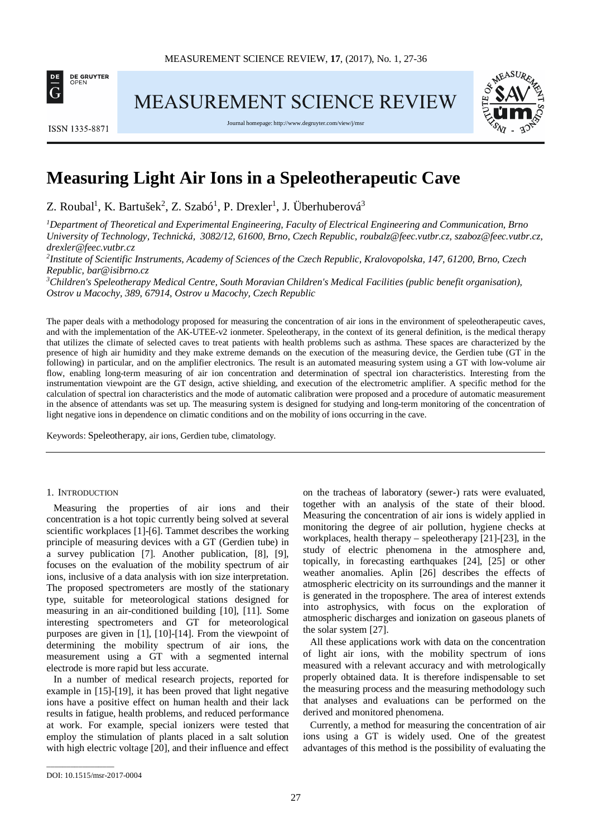

MEASUREMENT SCIENCE REVIEW



Journal homepage[: http://www.degruyter.com/view/j/msr](http://www.degruyter.com/view/j/msr)



# **Measuring Light Air Ions in a Speleotherapeutic Cave**

Z. Roubal<sup>1</sup>, K. Bartušek<sup>2</sup>, Z. Szabó<sup>1</sup>, P. Drexler<sup>1</sup>, J. Überhuberová<sup>3</sup>

*1 Department of Theoretical and Experimental Engineering, Faculty of Electrical Engineering and Communication, Brno University of Technology, Technická, 3082/12, 61600, Brno, Czech Republic, roubalz@feec.vutbr.cz, szaboz@feec.vutbr.cz, drexler@feec.vutbr.cz*

*2 Institute of Scientific Instruments, Academy of Sciences of the Czech Republic, Kralovopolska, 147, 61200, Brno, Czech Republic, bar@isibrno.cz*

*3 Children's Speleotherapy Medical Centre, South Moravian Children's Medical Facilities (public benefit organisation), Ostrov u Macochy, 389, 67914, Ostrov u Macochy, Czech Republic*

The paper deals with a methodology proposed for measuring the concentration of air ions in the environment of speleotherapeutic caves, and with the implementation of the AK-UTEE-v2 ionmeter. Speleotherapy, in the context of its general definition, is the medical therapy that utilizes the climate of selected caves to treat patients with health problems such as asthma. These spaces are characterized by the presence of high air humidity and they make extreme demands on the execution of the measuring device, the Gerdien tube (GT in the following) in particular, and on the amplifier electronics. The result is an automated measuring system using a GT with low-volume air flow, enabling long-term measuring of air ion concentration and determination of spectral ion characteristics. Interesting from the instrumentation viewpoint are the GT design, active shielding, and execution of the electrometric amplifier. A specific method for the calculation of spectral ion characteristics and the mode of automatic calibration were proposed and a procedure of automatic measurement in the absence of attendants was set up. The measuring system is designed for studying and long-term monitoring of the concentration of light negative ions in dependence on climatic conditions and on the mobility of ions occurring in the cave.

Keywords: Speleotherapy, air ions, Gerdien tube, climatology.

#### 1. INTRODUCTION

Measuring the properties of air ions and their concentration is a hot topic currently being solved at several scientific workplaces [1]-[6]. Tammet describes the working principle of measuring devices with a GT (Gerdien tube) in a survey publication [7]. Another publication, [8], [9], focuses on the evaluation of the mobility spectrum of air ions, inclusive of a data analysis with ion size interpretation. The proposed spectrometers are mostly of the stationary type, suitable for meteorological stations designed for measuring in an air-conditioned building [10], [11]. Some interesting spectrometers and GT for meteorological purposes are given in [1], [10]-[14]. From the viewpoint of determining the mobility spectrum of air ions, the measurement using a GT with a segmented internal electrode is more rapid but less accurate.

In a number of medical research projects, reported for example in [15]-[19], it has been proved that light negative ions have a positive effect on human health and their lack results in fatigue, health problems, and reduced performance at work. For example, special ionizers were tested that employ the stimulation of plants placed in a salt solution with high electric voltage [20], and their influence and effect on the tracheas of laboratory (sewer-) rats were evaluated, together with an analysis of the state of their blood. Measuring the concentration of air ions is widely applied in monitoring the degree of air pollution, hygiene checks at workplaces, health therapy – speleotherapy [21]-[23], in the study of electric phenomena in the atmosphere and, topically, in forecasting earthquakes [24], [25] or other weather anomalies. Aplin [26] describes the effects of atmospheric electricity on its surroundings and the manner it is generated in the troposphere. The area of interest extends into astrophysics, with focus on the exploration of atmospheric discharges and ionization on gaseous planets of the solar system [27].

All these applications work with data on the concentration of light air ions, with the mobility spectrum of ions measured with a relevant accuracy and with metrologically properly obtained data. It is therefore indispensable to set the measuring process and the measuring methodology such that analyses and evaluations can be performed on the derived and monitored phenomena.

Currently, a method for measuring the concentration of air ions using a GT is widely used. One of the greatest advantages of this method is the possibility of evaluating the

\_\_\_\_\_\_\_\_\_\_\_\_\_\_\_\_\_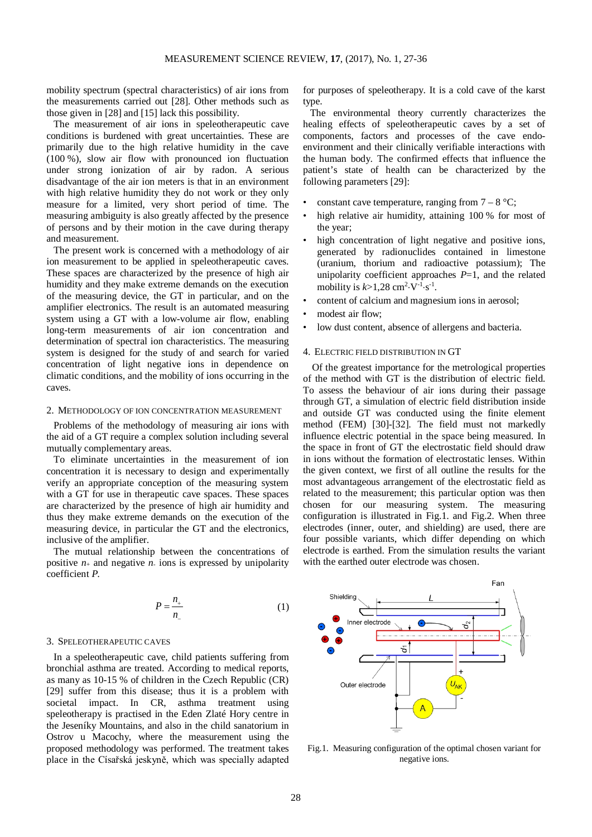mobility spectrum (spectral characteristics) of air ions from the measurements carried out [28]. Other methods such as those given in [28] and [15] lack this possibility.

The measurement of air ions in speleotherapeutic cave conditions is burdened with great uncertainties. These are primarily due to the high relative humidity in the cave (100 %), slow air flow with pronounced ion fluctuation under strong ionization of air by radon. A serious disadvantage of the air ion meters is that in an environment with high relative humidity they do not work or they only measure for a limited, very short period of time. The measuring ambiguity is also greatly affected by the presence of persons and by their motion in the cave during therapy and measurement.

The present work is concerned with a methodology of air ion measurement to be applied in speleotherapeutic caves. These spaces are characterized by the presence of high air humidity and they make extreme demands on the execution of the measuring device, the GT in particular, and on the amplifier electronics. The result is an automated measuring system using a GT with a low-volume air flow, enabling long-term measurements of air ion concentration and determination of spectral ion characteristics. The measuring system is designed for the study of and search for varied concentration of light negative ions in dependence on climatic conditions, and the mobility of ions occurring in the caves.

#### 2. METHODOLOGY OF ION CONCENTRATION MEASUREMENT

Problems of the methodology of measuring air ions with the aid of a GT require a complex solution including several mutually complementary areas.

To eliminate uncertainties in the measurement of ion concentration it is necessary to design and experimentally verify an appropriate conception of the measuring system with a GT for use in therapeutic cave spaces. These spaces are characterized by the presence of high air humidity and thus they make extreme demands on the execution of the measuring device, in particular the GT and the electronics, inclusive of the amplifier.

The mutual relationship between the concentrations of positive  $n_+$  and negative  $n_-$  ions is expressed by unipolarity coefficient *P.*

$$
P = \frac{n_+}{n_-} \tag{1}
$$

### 3. SPELEOTHERAPEUTIC CAVES

In a speleotherapeutic cave, child patients suffering from bronchial asthma are treated. According to medical reports, as many as 10-15 % of children in the Czech Republic (CR) [29] suffer from this disease; thus it is a problem with societal impact. In CR, asthma treatment using speleotherapy is practised in the Eden Zlaté Hory centre in the Jeseníky Mountains, and also in the child sanatorium in Ostrov u Macochy, where the measurement using the proposed methodology was performed. The treatment takes place in the Císařská jeskyně, which was specially adapted for purposes of speleotherapy. It is a cold cave of the karst type.

The environmental theory currently characterizes the healing effects of speleotherapeutic caves by a set of components, factors and processes of the cave endoenvironment and their clinically verifiable interactions with the human body. The confirmed effects that influence the patient's state of health can be characterized by the following parameters [29]:

- constant cave temperature, ranging from  $7 8$  °C;
- high relative air humidity, attaining 100 % for most of the year;
- high concentration of light negative and positive ions, generated by radionuclides contained in limestone (uranium, thorium and radioactive potassium); The unipolarity coefficient approaches  $P=1$ , and the related mobility is  $k > 1,28$  cm<sup>2</sup> $\cdot$ V<sup>-1</sup> $\cdot$ s<sup>-1</sup>.
- content of calcium and magnesium ions in aerosol;
- modest air flow;
- low dust content, absence of allergens and bacteria.

## 4. ELECTRIC FIELD DISTRIBUTION IN GT

Of the greatest importance for the metrological properties of the method with GT is the distribution of electric field. To assess the behaviour of air ions during their passage through GT, a simulation of electric field distribution inside and outside GT was conducted using the finite element method (FEM) [30]-[32]. The field must not markedly influence electric potential in the space being measured. In the space in front of GT the electrostatic field should draw in ions without the formation of electrostatic lenses. Within the given context, we first of all outline the results for the most advantageous arrangement of the electrostatic field as related to the measurement; this particular option was then chosen for our measuring system. The measuring configuration is illustrated in Fig.1. and Fig.2. When three electrodes (inner, outer, and shielding) are used, there are four possible variants, which differ depending on which electrode is earthed. From the simulation results the variant with the earthed outer electrode was chosen.



Fig.1. Measuring configuration of the optimal chosen variant for negative ions.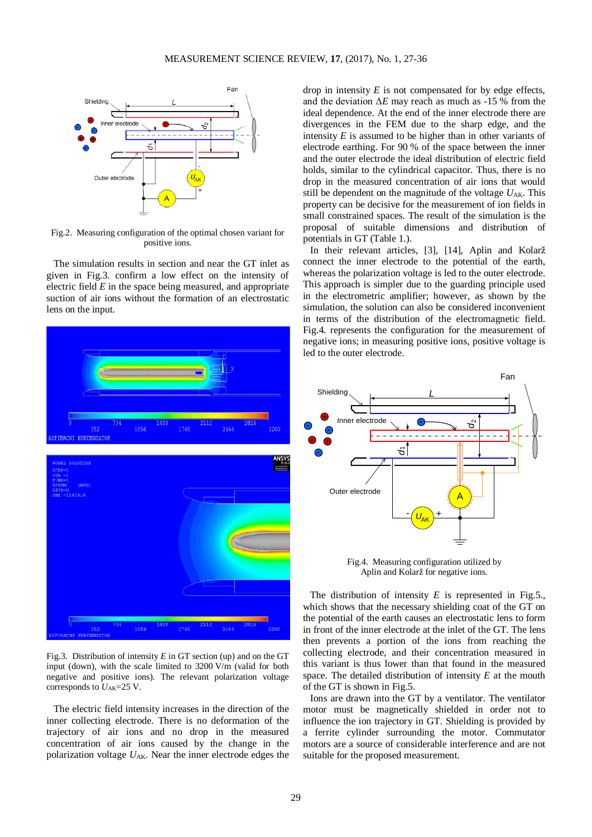

Fig.2. Measuring configuration of the optimal chosen variant for positive ions.

The simulation results in section and near the GT inlet as given in Fig.3. confirm a low effect on the intensity of electric field *E* in the space being measured, and appropriate suction of air ions without the formation of an electrostatic lens on the input.



Fig.3. Distribution of intensity *E* in GT section (up) and on the GT input (down), with the scale limited to 3200 V/m (valid for both negative and positive ions). The relevant polarization voltage corresponds to  $U_{AK}=25$  V.

The electric field intensity increases in the direction of the inner collecting electrode. There is no deformation of the trajectory of air ions and no drop in the measured concentration of air ions caused by the change in the polarization voltage  $U_{AK}$ . Near the inner electrode edges the drop in intensity *E* is not compensated for by edge effects, and the deviation  $\Delta E$  may reach as much as -15 % from the ideal dependence. At the end of the inner electrode there are divergences in the FEM due to the sharp edge, and the intensity *E* is assumed to be higher than in other variants of electrode earthing. For 90 % of the space between the inner and the outer electrode the ideal distribution of electric field holds, similar to the cylindrical capacitor. Thus, there is no drop in the measured concentration of air ions that would still be dependent on the magnitude of the voltage  $U_{AK}$ . This property can be decisive for the measurement of ion fields in small constrained spaces. The result of the simulation is the proposal of suitable dimensions and distribution of potentials in GT (Table 1.).

In their relevant articles, [3], [14], Aplin and Kolarž connect the inner electrode to the potential of the earth, whereas the polarization voltage is led to the outer electrode. This approach is simpler due to the guarding principle used in the electrometric amplifier; however, as shown by the simulation, the solution can also be considered inconvenient in terms of the distribution of the electromagnetic field. Fig.4. represents the configuration for the measurement of negative ions; in measuring positive ions, positive voltage is led to the outer electrode.



Fig.4. Measuring configuration utilized by Aplin and Kolarž for negative ions.

The distribution of intensity *E* is represented in Fig.5., which shows that the necessary shielding coat of the GT on the potential of the earth causes an electrostatic lens to form in front of the inner electrode at the inlet of the GT. The lens then prevents a portion of the ions from reaching the collecting electrode, and their concentration measured in this variant is thus lower than that found in the measured space. The detailed distribution of intensity *E* at the mouth of the GT is shown in Fig.5.

Ions are drawn into the GT by a ventilator. The ventilator motor must be magnetically shielded in order not to influence the ion trajectory in GT. Shielding is provided by a ferrite cylinder surrounding the motor. Commutator motors are a source of considerable interference and are not suitable for the proposed measurement.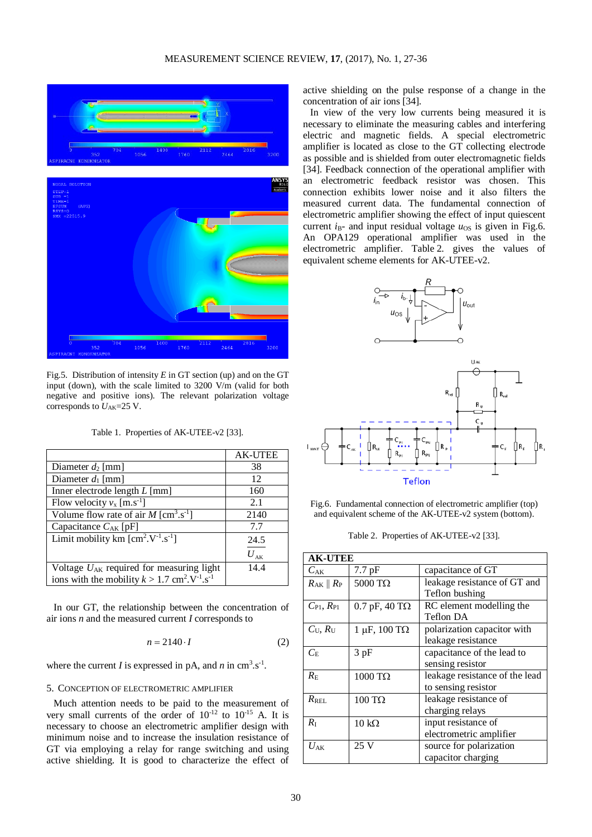

Fig.5. Distribution of intensity *E* in GT section (up) and on the GT input (down), with the scale limited to 3200 V/m (valid for both negative and positive ions). The relevant polarization voltage corresponds to  $U_{AK}=25$  V.

|                                                                                    | <b>AK-UTEE</b> |
|------------------------------------------------------------------------------------|----------------|
| Diameter $d_2$ [mm]                                                                | 38             |
| Diameter $d_1$ [mm]                                                                | 12             |
| Inner electrode length $L$ [mm]                                                    | 160            |
| Flow velocity $v_x$ [m.s <sup>-1</sup> ]                                           | 2.1            |
| Volume flow rate of air <i>M</i> [cm <sup>3</sup> .s <sup>-1</sup> ]               | 2140           |
| Capacitance $C_{AK}$ [pF]                                                          | 7.7            |
| Limit mobility km $\text{[cm}^2$ . V <sup>-1</sup> .s <sup>-1</sup> ]              | 24.5           |
|                                                                                    | $U_{\rm AK}$   |
| Voltage $U_{AK}$ required for measuring light                                      | 14.4           |
| ions with the mobility $k > 1.7$ cm <sup>2</sup> .V <sup>-1</sup> .s <sup>-1</sup> |                |

In our GT, the relationship between the concentration of air ions *n* and the measured current *I* corresponds to

$$
n = 2140 \cdot I \tag{2}
$$

where the current *I* is expressed in pA, and *n* in cm<sup>3</sup>.s<sup>-1</sup>.

## 5. CONCEPTION OF ELECTROMETRIC AMPLIFIER

Much attention needs to be paid to the measurement of very small currents of the order of  $10^{-12}$  to  $10^{-15}$  A. It is necessary to choose an electrometric amplifier design with minimum noise and to increase the insulation resistance of GT via employing a relay for range switching and using active shielding. It is good to characterize the effect of

active shielding on the pulse response of a change in the concentration of air ions [34].

In view of the very low currents being measured it is necessary to eliminate the measuring cables and interfering electric and magnetic fields. A special electrometric amplifier is located as close to the GT collecting electrode as possible and is shielded from outer electromagnetic fields [34]. Feedback connection of the operational amplifier with an electrometric feedback resistor was chosen. This connection exhibits lower noise and it also filters the measured current data. The fundamental connection of electrometric amplifier showing the effect of input quiescent current  $i_{\text{B}}$ - and input residual voltage  $u_{\text{OS}}$  is given in Fig.6. An OPA129 operational amplifier was used in the electrometric amplifier. Table 2. gives the values of equivalent scheme elements for AK-UTEE-v2.



Fig.6. Fundamental connection of electrometric amplifier (top) and equivalent scheme of the AK-UTEE-v2 system (bottom).

Table 2. Properties of AK-UTEE-v2 [33].

| <b>AK-UTEE</b>                   |                                  |                                |  |
|----------------------------------|----------------------------------|--------------------------------|--|
| $C_{AK}$                         | $7.7 \,\mathrm{pF}$              | capacitance of GT              |  |
| $R_{\rm AK} \parallel R_{\rm P}$ | $5000$ T $\Omega$                | leakage resistance of GT and   |  |
|                                  |                                  | Teflon bushing                 |  |
| $C_{P1}$ , $R_{P1}$              | $0.7$ pF, $40$ T $\Omega$        | RC element modelling the       |  |
|                                  |                                  | Teflon DA                      |  |
| $C_U, R_U$                       | $1 \mu$ F, $100 \text{ T}\Omega$ | polarization capacitor with    |  |
|                                  |                                  | leakage resistance             |  |
| $C_{\rm E}$                      | $3$ pF                           | capacitance of the lead to     |  |
|                                  |                                  | sensing resistor               |  |
| $R_{\rm E}$                      | 1000 ΤΩ                          | leakage resistance of the lead |  |
|                                  |                                  | to sensing resistor            |  |
| $R_{\rm{REL}}$                   | $100$ ΤΩ                         | leakage resistance of          |  |
|                                  |                                  | charging relays                |  |
| $R_{\rm I}$                      | $10 \text{ k}\Omega$             | input resistance of            |  |
|                                  |                                  | electrometric amplifier        |  |
| $U_{\rm AK}$                     | 25 V                             | source for polarization        |  |
|                                  |                                  | capacitor charging             |  |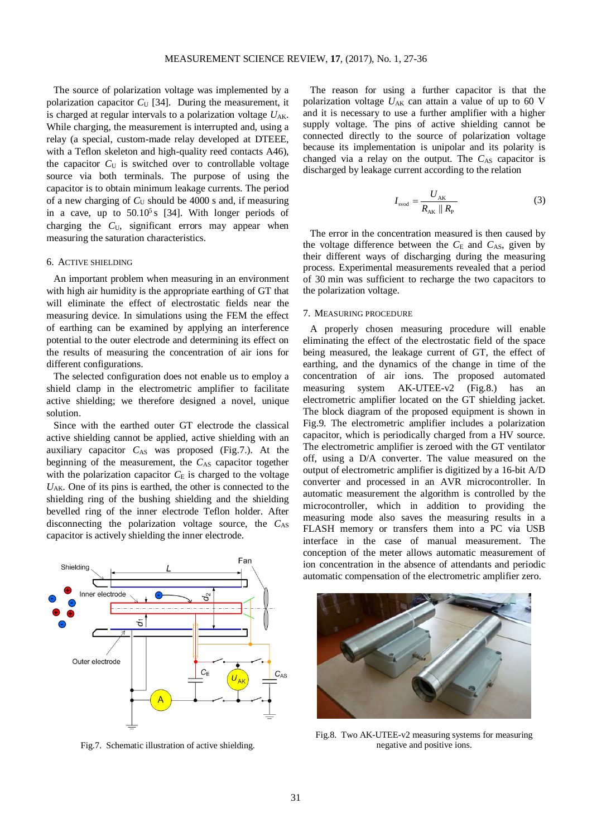The source of polarization voltage was implemented by a polarization capacitor  $C_U$  [34]. During the measurement, it is charged at regular intervals to a polarization voltage  $U_{AK}$ . While charging, the measurement is interrupted and, using a relay (a special, custom-made relay developed at DTEEE, with a Teflon skeleton and high-quality reed contacts A46), the capacitor  $C_U$  is switched over to controllable voltage source via both terminals. The purpose of using the capacitor is to obtain minimum leakage currents. The period of a new charging of *C*<sup>U</sup> should be 4000 s and, if measuring in a cave, up to  $50.10^5$  s [34]. With longer periods of charging the *C*U, significant errors may appear when measuring the saturation characteristics.

## 6. ACTIVE SHIELDING

An important problem when measuring in an environment with high air humidity is the appropriate earthing of GT that will eliminate the effect of electrostatic fields near the measuring device. In simulations using the FEM the effect of earthing can be examined by applying an interference potential to the outer electrode and determining its effect on the results of measuring the concentration of air ions for different configurations.

The selected configuration does not enable us to employ a shield clamp in the electrometric amplifier to facilitate active shielding; we therefore designed a novel, unique solution.

Since with the earthed outer GT electrode the classical active shielding cannot be applied, active shielding with an auxiliary capacitor C<sub>AS</sub> was proposed (Fig.7.). At the beginning of the measurement, the C<sub>AS</sub> capacitor together with the polarization capacitor  $C_E$  is charged to the voltage  $U_{AK}$ . One of its pins is earthed, the other is connected to the shielding ring of the bushing shielding and the shielding bevelled ring of the inner electrode Teflon holder. After disconnecting the polarization voltage source, the *C*AS capacitor is actively shielding the inner electrode.



Fig.7. Schematic illustration of active shielding.

The reason for using a further capacitor is that the polarization voltage  $U_{AK}$  can attain a value of up to 60 V and it is necessary to use a further amplifier with a higher supply voltage. The pins of active shielding cannot be connected directly to the source of polarization voltage because its implementation is unipolar and its polarity is changed via a relay on the output. The C<sub>AS</sub> capacitor is discharged by leakage current according to the relation

$$
I_{\text{svod}} = \frac{U_{\text{AK}}}{R_{\text{AK}} \parallel R_{\text{P}}}
$$
 (3)

The error in the concentration measured is then caused by the voltage difference between the  $C_E$  and  $C_{AS}$ , given by their different ways of discharging during the measuring process. Experimental measurements revealed that a period of 30 min was sufficient to recharge the two capacitors to the polarization voltage.

## 7. MEASURING PROCEDURE

A properly chosen measuring procedure will enable eliminating the effect of the electrostatic field of the space being measured, the leakage current of GT, the effect of earthing, and the dynamics of the change in time of the concentration of air ions. The proposed automated measuring system AK-UTEE-v2 (Fig.8.) has an electrometric amplifier located on the GT shielding jacket. The block diagram of the proposed equipment is shown in Fig.9. The electrometric amplifier includes a polarization capacitor, which is periodically charged from a HV source. The electrometric amplifier is zeroed with the GT ventilator off, using a D/A converter. The value measured on the output of electrometric amplifier is digitized by a 16-bit A/D converter and processed in an AVR microcontroller. In automatic measurement the algorithm is controlled by the microcontroller, which in addition to providing the measuring mode also saves the measuring results in a FLASH memory or transfers them into a PC via USB interface in the case of manual measurement. The conception of the meter allows automatic measurement of ion concentration in the absence of attendants and periodic automatic compensation of the electrometric amplifier zero.



Fig.8. Two AK-UTEE-v2 measuring systems for measuring negative and positive ions.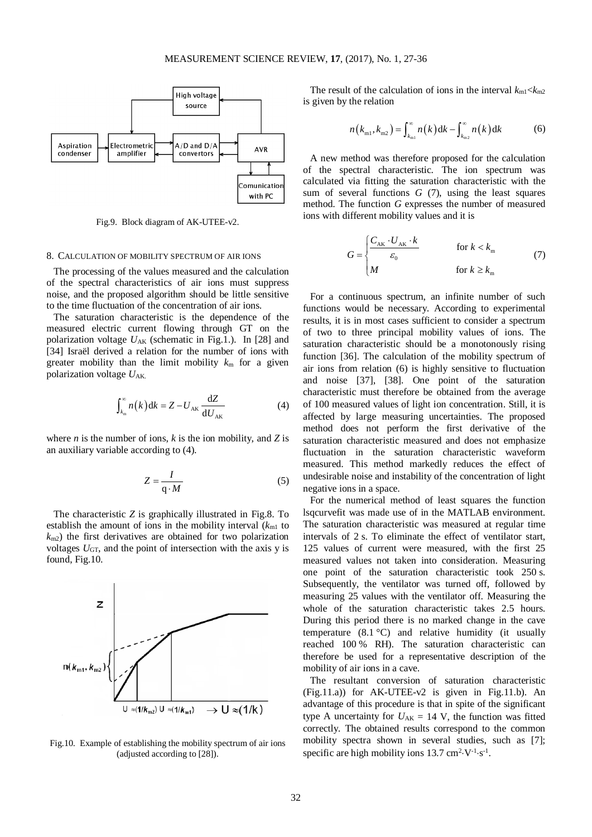

Fig.9. Block diagram of AK-UTEE-v2.

## 8. CALCULATION OF MOBILITY SPECTRUM OF AIR IONS

The processing of the values measured and the calculation of the spectral characteristics of air ions must suppress noise, and the proposed algorithm should be little sensitive to the time fluctuation of the concentration of air ions.

The saturation characteristic is the dependence of the measured electric current flowing through GT on the polarization voltage  $U_{AK}$  (schematic in Fig.1.). In [28] and [34] Israël derived a relation for the number of ions with greater mobility than the limit mobility  $k_m$  for a given polarization voltage  $U_{AK}$ .

$$
\int_{k_{\rm m}}^{\infty} n(k) \, \mathrm{d}k = Z - U_{\rm AK} \, \frac{\mathrm{d}Z}{\mathrm{d}U_{\rm AK}} \tag{4}
$$

where *n* is the number of ions,  $k$  is the ion mobility, and  $Z$  is an auxiliary variable according to (4).

$$
Z = \frac{I}{q \cdot M} \tag{5}
$$

The characteristic *Z* is graphically illustrated in Fig.8. To establish the amount of ions in the mobility interval  $(k_{m1}$  to  $k_{\text{m2}}$ ) the first derivatives are obtained for two polarization voltages  $U_{\text{GT}}$ , and the point of intersection with the axis y is found, Fig.10.



Fig.10. Example of establishing the mobility spectrum of air ions (adjusted according to [28]).

The result of the calculation of ions in the interval  $k_{m1} < k_{m2}$ is given by the relation

$$
n(k_{m1}, k_{m2}) = \int_{k_{m1}}^{\infty} n(k) dk - \int_{k_{m2}}^{\infty} n(k) dk
$$
 (6)

A new method was therefore proposed for the calculation of the spectral characteristic. The ion spectrum was calculated via fitting the saturation characteristic with the sum of several functions *G* (7), using the least squares method. The function *G* expresses the number of measured ions with different mobility values and it is

$$
G = \begin{cases} \frac{C_{\text{AK}} \cdot U_{\text{AK}} \cdot k}{\varepsilon_0} & \text{for } k < k_{\text{m}}\\ M & \text{for } k \ge k_{\text{m}} \end{cases} \tag{7}
$$

For a continuous spectrum, an infinite number of such functions would be necessary. According to experimental results, it is in most cases sufficient to consider a spectrum of two to three principal mobility values of ions. The saturation characteristic should be a monotonously rising function [36]. The calculation of the mobility spectrum of air ions from relation (6) is highly sensitive to fluctuation and noise [37], [38]. One point of the saturation characteristic must therefore be obtained from the average of 100 measured values of light ion concentration. Still, it is affected by large measuring uncertainties. The proposed method does not perform the first derivative of the saturation characteristic measured and does not emphasize fluctuation in the saturation characteristic waveform measured. This method markedly reduces the effect of undesirable noise and instability of the concentration of light negative ions in a space.

For the numerical method of least squares the function lsqcurvefit was made use of in the MATLAB environment. The saturation characteristic was measured at regular time intervals of 2 s. To eliminate the effect of ventilator start, 125 values of current were measured, with the first 25 measured values not taken into consideration. Measuring one point of the saturation characteristic took 250 s. Subsequently, the ventilator was turned off, followed by measuring 25 values with the ventilator off. Measuring the whole of the saturation characteristic takes 2.5 hours. During this period there is no marked change in the cave temperature  $(8.1 \degree C)$  and relative humidity (it usually reached 100 % RH). The saturation characteristic can therefore be used for a representative description of the mobility of air ions in a cave.

The resultant conversion of saturation characteristic (Fig.11.a)) for AK-UTEE-v2 is given in Fig.11.b). An advantage of this procedure is that in spite of the significant type A uncertainty for  $U_{AK} = 14$  V, the function was fitted correctly. The obtained results correspond to the common mobility spectra shown in several studies, such as [7]; specific are high mobility ions  $13.7 \text{ cm}^2 \cdot \text{V}^{-1} \cdot \text{s}^{-1}$ .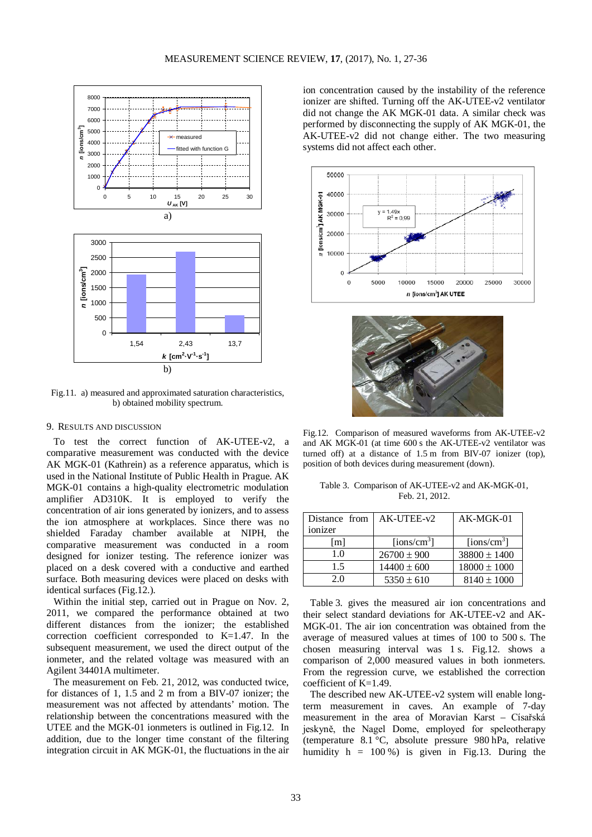

Fig.11. a) measured and approximated saturation characteristics, b) obtained mobility spectrum.

## 9. RESULTS AND DISCUSSION

To test the correct function of AK-UTEE-v2, a comparative measurement was conducted with the device AK MGK-01 (Kathrein) as a reference apparatus, which is used in the National Institute of Public Health in Prague. AK MGK-01 contains a high-quality electrometric modulation amplifier AD310K. It is employed to verify the concentration of air ions generated by ionizers, and to assess the ion atmosphere at workplaces. Since there was no shielded Faraday chamber available at NIPH, the comparative measurement was conducted in a room designed for ionizer testing. The reference ionizer was placed on a desk covered with a conductive and earthed surface. Both measuring devices were placed on desks with identical surfaces (Fig.12.).

Within the initial step, carried out in Prague on Nov. 2, 2011, we compared the performance obtained at two different distances from the ionizer; the established correction coefficient corresponded to K=1.47. In the subsequent measurement, we used the direct output of the ionmeter, and the related voltage was measured with an Agilent 34401A multimeter.

The measurement on Feb. 21, 2012, was conducted twice, for distances of 1, 1.5 and 2 m from a BIV-07 ionizer; the measurement was not affected by attendants' motion. The relationship between the concentrations measured with the UTEE and the MGK-01 ionmeters is outlined in Fig.12. In addition, due to the longer time constant of the filtering integration circuit in AK MGK-01, the fluctuations in the air ion concentration caused by the instability of the reference ionizer are shifted. Turning off the AK-UTEE-v2 ventilator did not change the AK MGK-01 data. A similar check was performed by disconnecting the supply of AK MGK-01, the AK-UTEE-v2 did not change either. The two measuring systems did not affect each other.





Fig.12. Comparison of measured waveforms from AK-UTEE-v2 and AK MGK-01 (at time 600 s the AK-UTEE-v2 ventilator was turned off) at a distance of 1.5 m from BIV-07 ionizer (top), position of both devices during measurement (down).

Table 3. Comparison of AK-UTEE-v2 and AK-MGK-01, Feb. 21, 2012.

| Distance from<br>ionizer | $AK-UTFE-v2$                            | $AK-MGK-01$                            |
|--------------------------|-----------------------------------------|----------------------------------------|
| [m]                      | $\left[$ ions/cm <sup>3</sup> $\right]$ | $\lceil$ ions/cm <sup>3</sup> $\rceil$ |
| 1.0                      | $26700 \pm 900$                         | $38800 \pm 1400$                       |
| 1.5                      | $14400 \pm 600$                         | $18000 \pm 1000$                       |
| 20                       | $5350 \pm 610$                          | $8140 \pm 1000$                        |

Table 3. gives the measured air ion concentrations and their select standard deviations for AK-UTEE-v2 and AK-MGK-01. The air ion concentration was obtained from the average of measured values at times of 100 to 500 s. The chosen measuring interval was 1 s. Fig.12. shows a comparison of 2,000 measured values in both ionmeters. From the regression curve, we established the correction coefficient of K=1.49.

The described new AK-UTEE-v2 system will enable longterm measurement in caves. An example of 7-day measurement in the area of Moravian Karst – Císařská jeskyně, the Nagel Dome, employed for speleotherapy (temperature 8.1 °C, absolute pressure 980 hPa, relative humidity  $h = 100\%$ ) is given in Fig.13. During the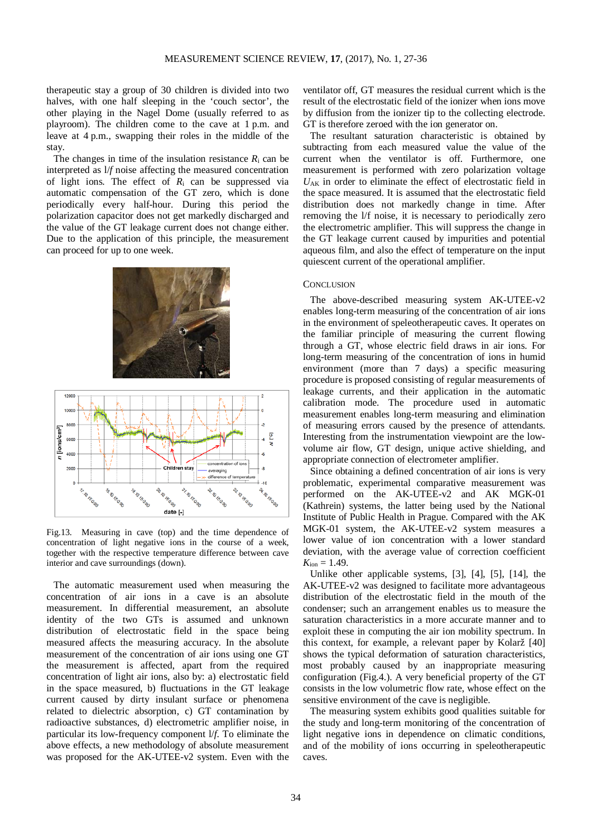therapeutic stay a group of 30 children is divided into two halves, with one half sleeping in the 'couch sector', the other playing in the Nagel Dome (usually referred to as playroom). The children come to the cave at 1 p.m. and leave at 4 p.m., swapping their roles in the middle of the stay.

The changes in time of the insulation resistance  $R_i$  can be interpreted as l/*f* noise affecting the measured concentration of light ions. The effect of  $R_i$  can be suppressed via automatic compensation of the GT zero, which is done periodically every half-hour. During this period the polarization capacitor does not get markedly discharged and the value of the GT leakage current does not change either. Due to the application of this principle, the measurement can proceed for up to one week.





Fig.13. Measuring in cave (top) and the time dependence of concentration of light negative ions in the course of a week, together with the respective temperature difference between cave interior and cave surroundings (down).

The automatic measurement used when measuring the concentration of air ions in a cave is an absolute measurement. In differential measurement, an absolute identity of the two GTs is assumed and unknown distribution of electrostatic field in the space being measured affects the measuring accuracy. In the absolute measurement of the concentration of air ions using one GT the measurement is affected, apart from the required concentration of light air ions, also by: a) electrostatic field in the space measured, b) fluctuations in the GT leakage current caused by dirty insulant surface or phenomena related to dielectric absorption, c) GT contamination by radioactive substances, d) electrometric amplifier noise, in particular its low-frequency component l/*f*. To eliminate the above effects, a new methodology of absolute measurement was proposed for the AK-UTEE-v2 system. Even with the

ventilator off, GT measures the residual current which is the result of the electrostatic field of the ionizer when ions move by diffusion from the ionizer tip to the collecting electrode. GT is therefore zeroed with the ion generator on.

The resultant saturation characteristic is obtained by subtracting from each measured value the value of the current when the ventilator is off. Furthermore, one measurement is performed with zero polarization voltage  $U_{AK}$  in order to eliminate the effect of electrostatic field in the space measured. It is assumed that the electrostatic field distribution does not markedly change in time. After removing the l/f noise, it is necessary to periodically zero the electrometric amplifier. This will suppress the change in the GT leakage current caused by impurities and potential aqueous film, and also the effect of temperature on the input quiescent current of the operational amplifier.

## **CONCLUSION**

The above-described measuring system AK-UTEE-v2 enables long-term measuring of the concentration of air ions in the environment of speleotherapeutic caves. It operates on the familiar principle of measuring the current flowing through a GT, whose electric field draws in air ions. For long-term measuring of the concentration of ions in humid environment (more than 7 days) a specific measuring procedure is proposed consisting of regular measurements of leakage currents, and their application in the automatic calibration mode. The procedure used in automatic measurement enables long-term measuring and elimination of measuring errors caused by the presence of attendants. Interesting from the instrumentation viewpoint are the lowvolume air flow, GT design, unique active shielding, and appropriate connection of electrometer amplifier.

Since obtaining a defined concentration of air ions is very problematic, experimental comparative measurement was performed on the AK-UTEE-v2 and AK MGK-01 (Kathrein) systems, the latter being used by the National Institute of Public Health in Prague. Compared with the AK MGK-01 system, the AK-UTEE-v2 system measures a lower value of ion concentration with a lower standard deviation, with the average value of correction coefficient  $K_{\text{ion}} = 1.49$ .

Unlike other applicable systems, [3], [4], [5], [14], the AK-UTEE-v2 was designed to facilitate more advantageous distribution of the electrostatic field in the mouth of the condenser; such an arrangement enables us to measure the saturation characteristics in a more accurate manner and to exploit these in computing the air ion mobility spectrum. In this context, for example, a relevant paper by Kolarž [40] shows the typical deformation of saturation characteristics, most probably caused by an inappropriate measuring configuration (Fig.4.). A very beneficial property of the GT consists in the low volumetric flow rate, whose effect on the sensitive environment of the cave is negligible.

The measuring system exhibits good qualities suitable for the study and long-term monitoring of the concentration of light negative ions in dependence on climatic conditions, and of the mobility of ions occurring in speleotherapeutic caves.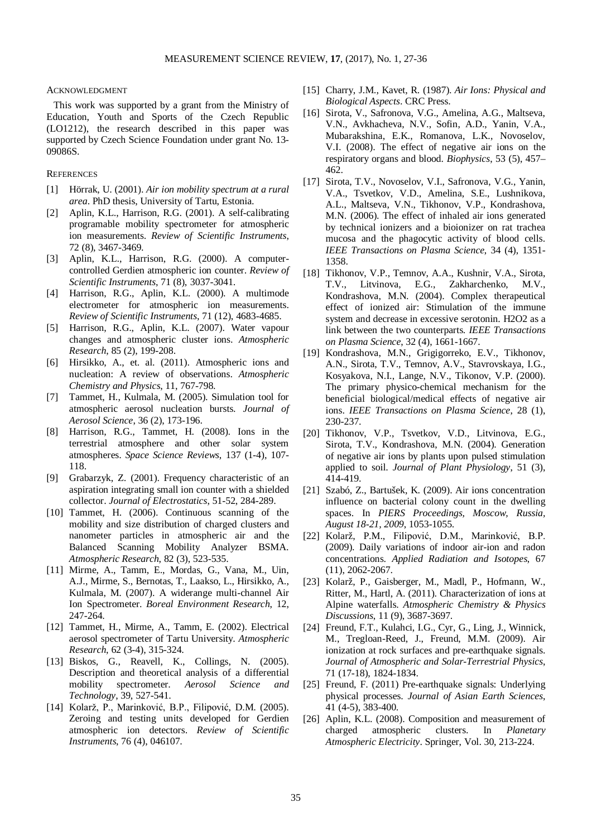#### ACKNOWLEDGMENT

This work was supported by a grant from the Ministry of Education, Youth and Sports of the Czech Republic (LO1212), the research described in this paper was supported by Czech Science Foundation under grant No. 13- 09086S.

## **REFERENCES**

- [1] Hörrak, U. (2001). *Air ion mobility spectrum at a rural area*. PhD thesis, University of Tartu, Estonia.
- [2] Aplin, K.L., Harrison, R.G. (2001). A self-calibrating programable mobility spectrometer for atmospheric ion measurements. *Review of Scientific Instruments*, 72 (8), 3467-3469.
- [3] Aplin, K.L., Harrison, R.G. (2000). A computercontrolled Gerdien atmospheric ion counter. *Review of Scientific Instruments*, 71 (8), 3037-3041.
- [4] Harrison, R.G., Aplin, K.L. (2000). A multimode electrometer for atmospheric ion measurements. *Review of Scientific Instruments*, 71 (12), 4683-4685.
- [5] Harrison, R.G., Aplin, K.L. (2007). Water vapour changes and atmospheric cluster ions. *Atmospheric Research*, 85 (2), 199-208.
- [6] Hirsikko, A., et. al. (2011). Atmospheric ions and nucleation: A review of observations. *Atmospheric Chemistry and Physics*, 11, 767-798.
- [7] Tammet, H., Kulmala, M. (2005). Simulation tool for atmospheric aerosol nucleation bursts. *Journal of Aerosol Science*, 36 (2), 173-196.
- [8] Harrison, R.G., Tammet, H. (2008). Ions in the terrestrial atmosphere and other solar system atmospheres. *Space Science Reviews*, 137 (1-4), 107- 118.
- [9] Grabarzyk, Z. (2001). Frequency characteristic of an aspiration integrating small ion counter with a shielded collector. *Journal of Electrostatics*, 51-52, 284-289.
- [10] Tammet, H. (2006). Continuous scanning of the mobility and size distribution of charged clusters and nanometer particles in atmospheric air and the Balanced Scanning Mobility Analyzer BSMA. *Atmospheric Research*, 82 (3), 523-535.
- [11] Mirme, A., Tamm, E., Mordas, G., Vana, M., Uin, A.J., Mirme, S., Bernotas, T., Laakso, L., Hirsikko, A., Kulmala, M. (2007). A widerange multi-channel Air Ion Spectrometer. *Boreal Environment Research*, 12, 247-264.
- [12] Tammet, H., Mirme, A., Tamm, E. (2002). Electrical aerosol spectrometer of Tartu University. *Atmospheric Research*, 62 (3-4), 315-324.
- [13] Biskos, G., Reavell, K., Collings, N. (2005). Description and theoretical analysis of a differential mobility spectrometer. *Aerosol Science and Technology*, 39, 527-541.
- [14] Kolarž, P., Marinković, B.P., Filipović, D.M. (2005). Zeroing and testing units developed for Gerdien atmospheric ion detectors. *Review of Scientific Instruments*, 76 (4), 046107.
- [15] Charry, J.M., Kavet, R. (1987). *Air Ions: Physical and Biological Aspects*. CRC Press.
- [16] Sirota, V., Safronova, V.G., Amelina, A.G., Maltseva, V.N., Avkhacheva, N.V., Sofin, A.D., Yanin, V.A., Mubarakshina, E.K., Romanova, L.K., Novoselov, V.I. (2008). The effect of negative air ions on the respiratory organs and blood. *Biophysics*, 53 (5), 457– 462.
- [17] Sirota, T.V., Novoselov, V.I., Safronova, V.G., Yanin, V.A., Tsvetkov, V.D., Amelina, S.E., Lushnikova, A.L., Maltseva, V.N., Tikhonov, V.P., Kondrashova, M.N. (2006). The effect of inhaled air ions generated by technical ionizers and a bioionizer on rat trachea mucosa and the phagocytic activity of blood cells. *IEEE Transactions on Plasma Science*, 34 (4), 1351- 1358.
- [18] Tikhonov, V.P., Temnov, A.A., Kushnir, V.A., Sirota, T.V., Litvinova, E.G., Zakharchenko, M.V., Kondrashova, M.N. (2004). Complex therapeutical effect of ionized air: Stimulation of the immune system and decrease in excessive serotonin. H2O2 as a link between the two counterparts. *IEEE Transactions on Plasma Science*, 32 (4), 1661-1667.
- [19] Kondrashova, M.N., Grigigorreko, E.V., Tikhonov, A.N., Sirota, T.V., Temnov, A.V., Stavrovskaya, I.G., Kosyakova, N.I., Lange, N.V., Tikonov, V.P. (2000). The primary physico-chemical mechanism for the beneficial biological/medical effects of negative air ions. *IEEE Transactions on Plasma Science*, 28 (1), 230-237.
- [20] Tikhonov, V.P., Tsvetkov, V.D., Litvinova, E.G., Sirota, T.V., Kondrashova, M.N. (2004). Generation of negative air ions by plants upon pulsed stimulation applied to soil. *Journal of Plant Physiology*, 51 (3), 414-419.
- [21] Szabó, Z., Bartušek, K. (2009). Air ions concentration influence on bacterial colony count in the dwelling spaces. In *PIERS Proceedings, Moscow, Russia, August 18-21, 2009*, 1053-1055.
- [22] Kolarž, P.M., Filipović, D.M., Marinković, B.P. (2009). Daily variations of indoor air-ion and radon concentrations. *Applied Radiation and Isotopes*, 67 (11), 2062-2067.
- [23] Kolarž, P., Gaisberger, M., Madl, P., Hofmann, W., Ritter, M., Hartl, A. (2011). Characterization of ions at Alpine waterfalls. *Atmospheric Chemistry & Physics Discussions*, 11 (9), 3687-3697.
- [24] Freund, F.T., Kulahci, I.G., Cyr, G., Ling, J., Winnick, M., Tregloan-Reed, J., Freund, M.M. (2009). Air ionization at rock surfaces and pre-earthquake signals. *Journal of Atmospheric and Solar-Terrestrial Physics*, 71 (17-18), 1824-1834.
- [25] Freund, F. (2011) Pre-earthquake signals: Underlying physical processes. *Journal of Asian Earth Sciences*, 41 (4-5), 383-400.
- [26] Aplin, K.L. (2008). Composition and measurement of charged atmospheric clusters. In *Planetary* clusters. In *Planetary Atmospheric Electricity*. Springer, Vol. 30, 213-224.